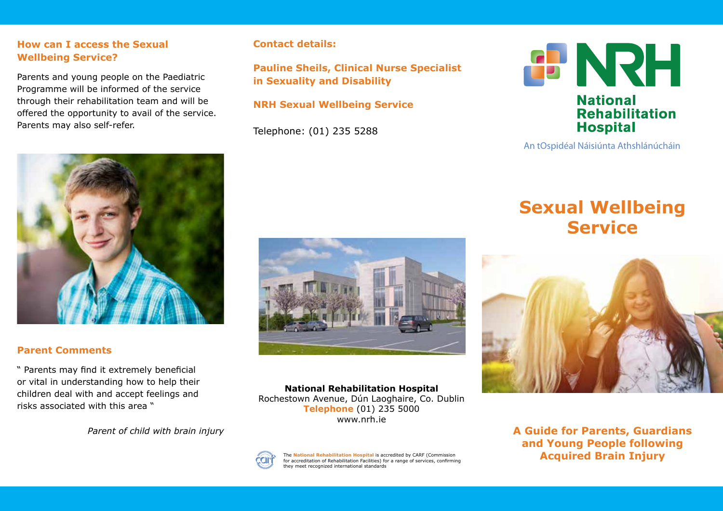## **How can I access the Sexual Wellbeing Service?**

Parents and young people on the Paediatric Programme will be informed of the service through their rehabilitation team and will be offered the opportunity to avail of the service. Parents may also self-refer.



## **Parent Comments**

" Parents may find it extremely beneficial or vital in understanding how to help their children deal with and accept feelings and risks associated with this area "

# **Contact details:**

**Pauline Sheils, Clinical Nurse Specialist in Sexuality and Disability** 

# **NRH Sexual Wellbeing Service**

Telephone: (01) 235 5288



**National Rehabilitation Hospital** Rochestown Avenue, Dún Laoghaire, Co. Dublin **Telephone** (01) 235 5000 www.nrh.ie



The **National Rehabilitation Hospital** is accredited by CARF (Commission for accreditation of Rehabilitation Facilities) for a range of services, confirming they meet recognized international standards



#### An tOspidéal Náisiúnta Athshlánúcháin

# **Sexual Wellbeing Service**



*Parent of child with brain injury* **A Guide for Parents, Guardians A Guide for Parents, Guardians and Young People following Acquired Brain Injury**